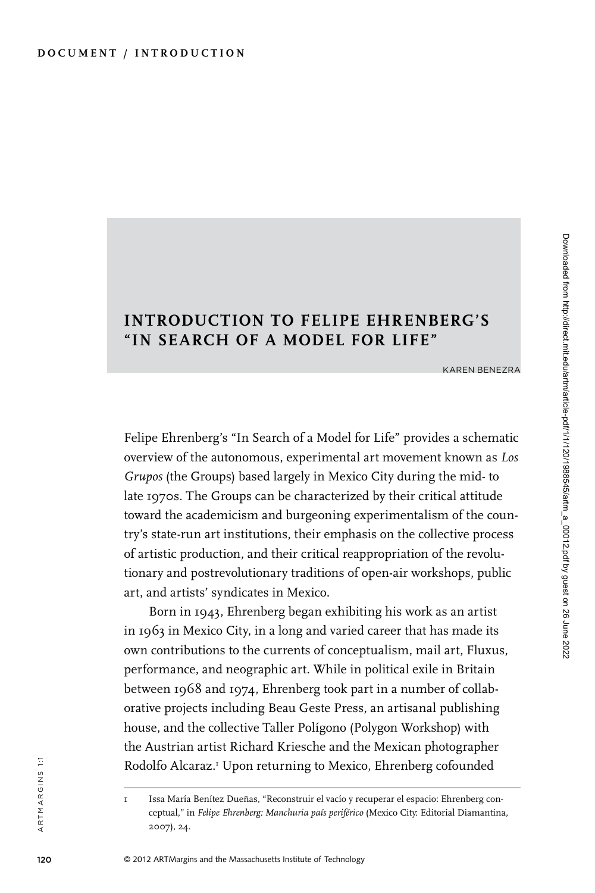## **Introduction to Felipe Ehrenberg's "In Search of a Model for Life"**

Karen Benezra

Felipe Ehrenberg's "In Search of a Model for Life" provides a schematic overview of the autonomous, experimental art movement known as *Los Grupos* (the Groups) based largely in Mexico City during the mid- to late 1970s. The Groups can be characterized by their critical attitude toward the academicism and burgeoning experimentalism of the country's state-run art institutions, their emphasis on the collective process of artistic production, and their critical reappropriation of the revolutionary and postrevolutionary traditions of open-air workshops, public art, and artists' syndicates in Mexico.

Born in 1943, Ehrenberg began exhibiting his work as an artist in 1963 in Mexico City, in a long and varied career that has made its own contributions to the currents of conceptualism, mail art, Fluxus, performance, and neographic art. While in political exile in Britain between 1968 and 1974, Ehrenberg took part in a number of collaborative projects including Beau Geste Press, an artisanal publishing house, and the collective Taller Polígono (Polygon Workshop) with the Austrian artist Richard Kriesche and the Mexican photographer Rodolfo Alcaraz.<sup>1</sup> Upon returning to Mexico, Ehrenberg cofounded

<sup>1</sup> Issa María Benítez Dueñas, "Reconstruir el vacío y recuperar el espacio: Ehrenberg conceptual," in *Felipe Ehrenberg: Manchuria país periférico* (Mexico City: Editorial Diamantina, 2007), 24.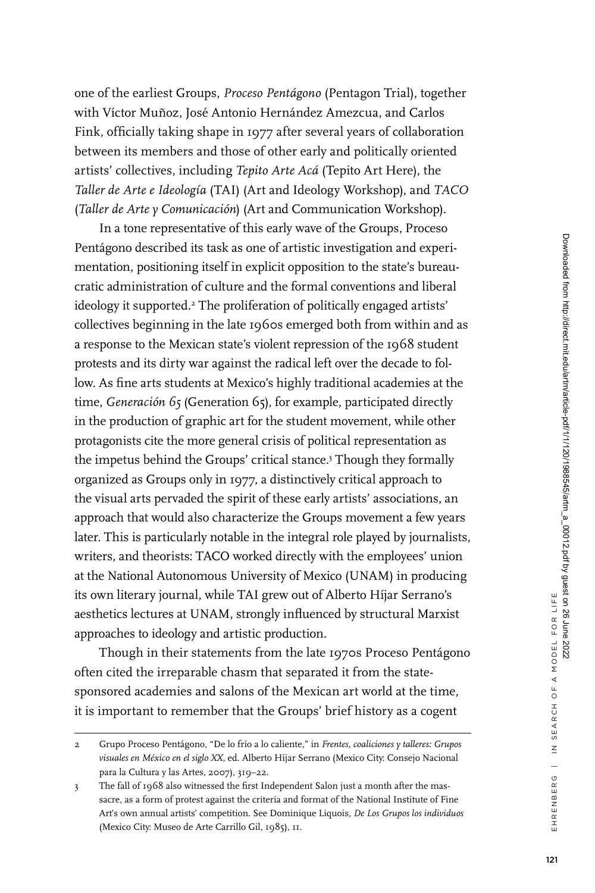one of the earliest Groups, *Proceso Pentágono* (Pentagon Trial), together with Víctor Muñoz, José Antonio Hernández Amezcua, and Carlos Fink, officially taking shape in 1977 after several years of collaboration between its members and those of other early and politically oriented artists' collectives, including *Tepito Arte Acá* (Tepito Art Here), the *Taller de Arte e Ideología* (TAI) (Art and Ideology Workshop), and *TACO* (*Taller de Arte y Comunicación*) (Art and Communication Workshop).

In a tone representative of this early wave of the Groups, Proceso Pentágono described its task as one of artistic investigation and experimentation, positioning itself in explicit opposition to the state's bureaucratic administration of culture and the formal conventions and liberal ideology it supported.<sup>2</sup> The proliferation of politically engaged artists' collectives beginning in the late 1960s emerged both from within and as a response to the Mexican state's violent repression of the 1968 student protests and its dirty war against the radical left over the decade to follow. As fine arts students at Mexico's highly traditional academies at the time, *Generación 65* (Generation 65), for example, participated directly in the production of graphic art for the student movement, while other protagonists cite the more general crisis of political representation as the impetus behind the Groups' critical stance.3 Though they formally organized as Groups only in 1977, a distinctively critical approach to the visual arts pervaded the spirit of these early artists' associations, an approach that would also characterize the Groups movement a few years later. This is particularly notable in the integral role played by journalists, writers, and theorists: TACO worked directly with the employees' union at the National Autonomous University of Mexico (UNAM) in producing its own literary journal, while TAI grew out of Alberto Híjar Serrano's aesthetics lectures at UNAM, strongly influenced by structural Marxist approaches to ideology and artistic production.

Though in their statements from the late 1970s Proceso Pentágono often cited the irreparable chasm that separated it from the statesponsored academies and salons of the Mexican art world at the time, it is important to remember that the Groups' brief history as a cogent

<sup>2</sup> Grupo Proceso Pentágono, "De lo frío a lo caliente," in *Frentes, coaliciones y talleres: Grupos visuales en México en el siglo XX*, ed. Alberto Híjar Serrano (Mexico City: Consejo Nacional para la Cultura y las Artes, 2007), 319–22.

<sup>3</sup> The fall of 1968 also witnessed the first Independent Salon just a month after the massacre, as a form of protest against the criteria and format of the National Institute of Fine Art's own annual artists' competition. See Dominique Liquois, *De Los Grupos los individuos* (Mexico City: Museo de Arte Carrillo Gil, 1985), 11.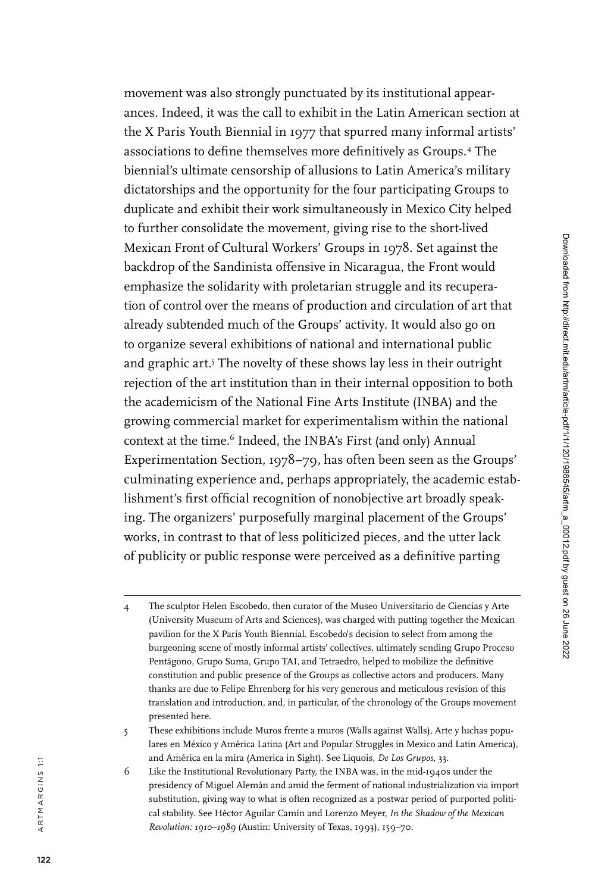movement was also strongly punctuated by its institutional appear ances. Indeed, it was the call to exhibit in the Latin American section at the X Paris Youth Biennial in 1977 that spurred many informal artists' associations to define themselves more definitively as Groups. 4 The biennial's ultimate censorship of allusions to Latin America's military dictatorships and the opportunity for the four participating Groups to duplicate and exhibit their work simultaneously in Mexico City helped to further consolidate the movement, giving rise to the short-lived Mexican Front of Cultural Workers' Groups in 1978. Set against the backdrop of the Sandinista offensive in Nicaragua, the Front would emphasize the solidarity with proletarian struggle and its recupera tion of control over the means of production and circulation of art that already subtended much of the Groups' activity. It would also go on to organize several exhibitions of national and international public and graphic art. 5 The novelty of these shows lay less in their outright rejection of the art institution than in their internal opposition to both the academicism of the National Fine Arts Institute (INBA) and the growing commercial market for experimentalism within the national context at the time. 6 Indeed, the INBA's First (and only) Annual Experimentation Section, 1978–79, has often been seen as the Groups' culminating experience and, perhaps appropriately, the academic estab lishment's first official recognition of nonobjective art broadly speak ing. The organizers' purposefully marginal placement of the Groups' works, in contrast to that of less politicized pieces, and the utter lack of publicity or public response were perceived as a definitive parting

The sculptor Helen Escobedo, then curator of the Museo Universitario de Ciencias y Arte (University Museum of Arts and Sciences), was charged with putting together the Mexican pavilion for the X Paris Youth Biennial. Escobedo's decision to select from among the burgeoning scene of mostly informal artists' collectives, ultimately sending Grupo Proceso Pentágono, Grupo Suma, Grupo TAI, and Tetraedro, helped to mobilize the definitive constitution and public presence of the Groups as collective actors and producers. Many thanks are due to Felipe Ehrenberg for his very generous and meticulous revision of this translation and introduction, and, in particular, of the chronology of the Groups movement presented here.

<sup>5</sup> These exhibitions include Muros frente a muros (Walls against Walls), Arte y luchas popu lares en México y América Latina (Art and Popular Struggles in Mexico and Latin America), and América en la mira (America in Sight). See Liquois, *De Los Grupos*, 33.

<sup>6</sup> Like the Institutional Revolutionary Party, the INBA was, in the mid-1940s under the presidency of Miguel Alemán and amid the ferment of national industrialization via import substitution, giving way to what is often recognized as a postwar period of purported politi cal stability. See Héctor Aguilar Camín and Lorenzo Meyer, *In the Shadow of the Mexican Revolution: 1910–1989* (Austin: University of Texas, 1993), 159–70.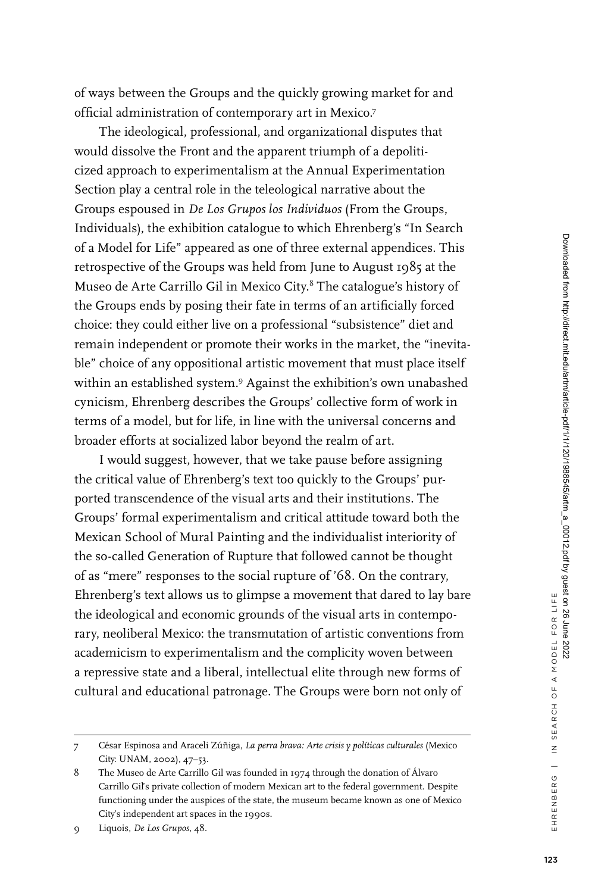of ways between the Groups and the quickly growing market for and official administration of contemporary art in Mexico.7

The ideological, professional, and organizational disputes that would dissolve the Front and the apparent triumph of a depoliticized approach to experimentalism at the Annual Experimentation Section play a central role in the teleological narrative about the Groups espoused in *De Los Grupos los Individuos* (From the Groups, Individuals), the exhibition catalogue to which Ehrenberg's "In Search of a Model for Life" appeared as one of three external appendices. This retrospective of the Groups was held from June to August 1985 at the Museo de Arte Carrillo Gil in Mexico City.8 The catalogue's history of the Groups ends by posing their fate in terms of an artificially forced choice: they could either live on a professional "subsistence" diet and remain independent or promote their works in the market, the "inevitable" choice of any oppositional artistic movement that must place itself within an established system.9 Against the exhibition's own unabashed cynicism, Ehrenberg describes the Groups' collective form of work in terms of a model, but for life, in line with the universal concerns and broader efforts at socialized labor beyond the realm of art.

I would suggest, however, that we take pause before assigning the critical value of Ehrenberg's text too quickly to the Groups' purported transcendence of the visual arts and their institutions. The Groups' formal experimentalism and critical attitude toward both the Mexican School of Mural Painting and the individualist interiority of the so-called Generation of Rupture that followed cannot be thought of as "mere" responses to the social rupture of '68. On the contrary, Ehrenberg's text allows us to glimpse a movement that dared to lay bare the ideological and economic grounds of the visual arts in contemporary, neoliberal Mexico: the transmutation of artistic conventions from academicism to experimentalism and the complicity woven between a repressive state and a liberal, intellectual elite through new forms of cultural and educational patronage. The Groups were born not only of

<sup>7</sup> César Espinosa and Araceli Zúñiga, *La perra brava: Arte crisis y políticas culturales* (Mexico City: UNAM, 2002), 47–53.

<sup>8</sup> The Museo de Arte Carrillo Gil was founded in 1974 through the donation of Álvaro Carrillo Gil's private collection of modern Mexican art to the federal government. Despite functioning under the auspices of the state, the museum became known as one of Mexico City's independent art spaces in the 1990s.

<sup>9</sup> Liquois, *De Los Grupos*, 48.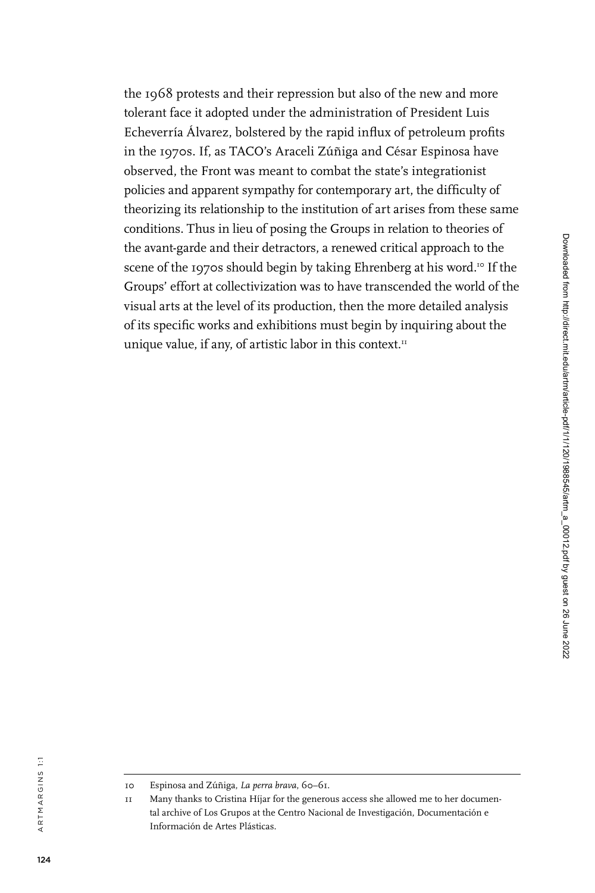the 1968 protests and their repression but also of the new and more tolerant face it adopted under the administration of President Luis Echeverría Álvarez, bolstered by the rapid influx of petroleum profits in the 1970s. If, as TACO's Araceli Zúñiga and César Espinosa have observed, the Front was meant to combat the state's integrationist policies and apparent sympathy for contemporary art, the difficulty of theorizing its relationship to the institution of art arises from these same conditions. Thus in lieu of posing the Groups in relation to theories of the avant-garde and their detractors, a renewed critical approach to the scene of the 1970s should begin by taking Ehrenberg at his word.<sup>10</sup> If the Groups' effort at collectivization was to have transcended the world of the visual arts at the level of its production, then the more detailed analysis of its specific works and exhibitions must begin by inquiring about the unique value, if any, of artistic labor in this context.<sup>11</sup>

<sup>10</sup> Espinosa and Zúñiga, *La perra brava*, 60–61.

<sup>11</sup> Many thanks to Cristina Híjar for the generous access she allowed me to her documental archive of Los Grupos at the Centro Nacional de Investigación, Documentación e Información de Artes Plásticas.

ARTMARGINS 1:1 artmargins 1:1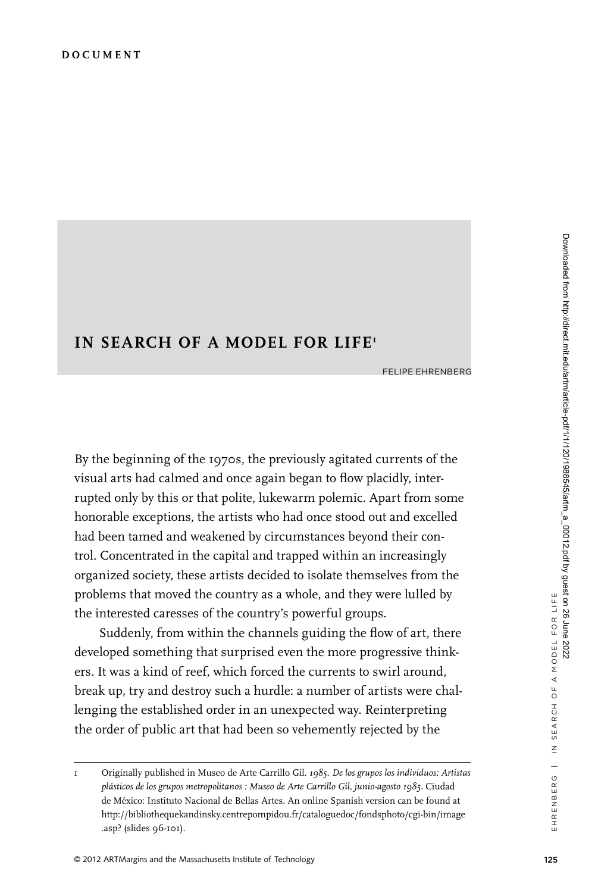## **IN SEARCH OF A MODEL FOR LIFE1**

Felipe Ehrenberg

By the beginning of the 1970s, the previously agitated currents of the visual arts had calmed and once again began to flow placidly, interrupted only by this or that polite, lukewarm polemic. Apart from some honorable exceptions, the artists who had once stood out and excelled had been tamed and weakened by circumstances beyond their control. Concentrated in the capital and trapped within an increasingly organized society, these artists decided to isolate themselves from the problems that moved the country as a whole, and they were lulled by the interested caresses of the country's powerful groups.

Suddenly, from within the channels guiding the flow of art, there developed something that surprised even the more progressive thinkers. It was a kind of reef, which forced the currents to swirl around, break up, try and destroy such a hurdle: a number of artists were challenging the established order in an unexpected way. Reinterpreting the order of public art that had been so vehemently rejected by the

<sup>1</sup> Originally published in Museo de Arte Carrillo Gil. *1985. De los grupos los individuos: Artistas plásticos de los grupos metropolitanos : Museo de Arte Carrillo Gil, junio-agosto 1985.* Ciudad de México: Instituto Nacional de Bellas Artes. An online Spanish version can be found at http://bibliothequekandinsky.centrepompidou.fr/cataloguedoc/fondsphoto/cgi-bin/image .asp? (slides 96-101).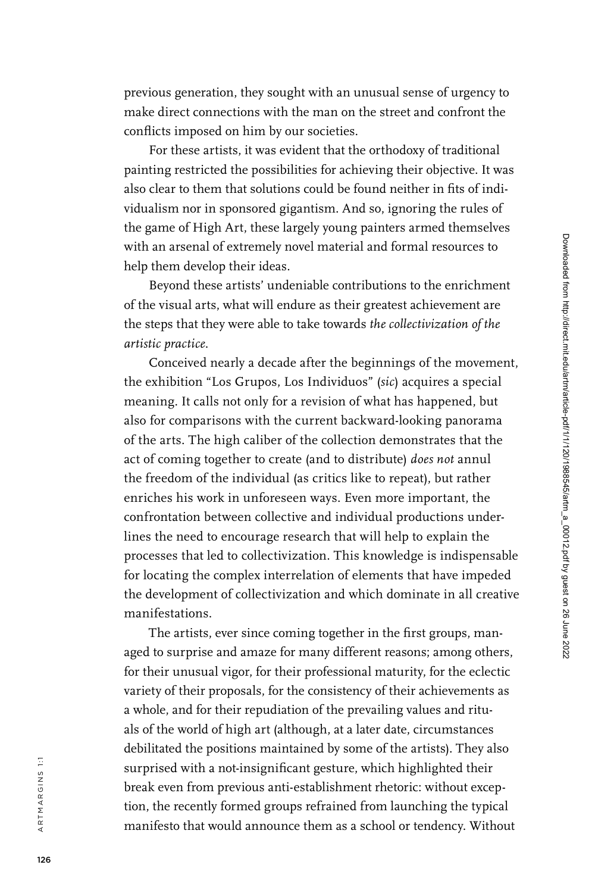previous generation, they sought with an unusual sense of urgency to make direct connections with the man on the street and confront the conflicts imposed on him by our societies.

For these artists, it was evident that the orthodoxy of traditional painting restricted the possibilities for achieving their objective. It was also clear to them that solutions could be found neither in fits of indi vidualism nor in sponsored gigantism. And so, ignoring the rules of the game of High Art, these largely young painters armed themselves with an arsenal of extremely novel material and formal resources to help them develop their ideas.

Beyond these artists' undeniable contributions to the enrichment of the visual arts, what will endure as their greatest achievement are the steps that they were able to take towards *the collectivization of the artistic practice* .

Conceived nearly a decade after the beginnings of the movement, the exhibition "Los Grupos, Los Individuos" (*sic*) acquires a special meaning. It calls not only for a revision of what has happened, but also for comparisons with the current backward-looking panorama of the arts. The high caliber of the collection demonstrates that the act of coming together to create (and to distribute) *does not* annul the freedom of the individual (as critics like to repeat), but rather enriches his work in unforeseen ways. Even more important, the confrontation between collective and individual productions under lines the need to encourage research that will help to explain the processes that led to collectivization. This knowledge is indispensable for locating the complex interrelation of elements that have impeded the development of collectivization and which dominate in all creative manifestations.

The artists, ever since coming together in the first groups, man aged to surprise and amaze for many different reasons; among others, for their unusual vigor, for their professional maturity, for the eclectic variety of their proposals, for the consistency of their achievements as a whole, and for their repudiation of the prevailing values and ritu als of the world of high art (although, at a later date, circumstances debilitated the positions maintained by some of the artists). They also surprised with a not-insignificant gesture, which highlighted their break even from previous anti-establishment rhetoric: without excep tion, the recently formed groups refrained from launching the typical manifesto that would announce them as a school or tendency. Without

artmargins 1:1

ARTMARGINS 1:1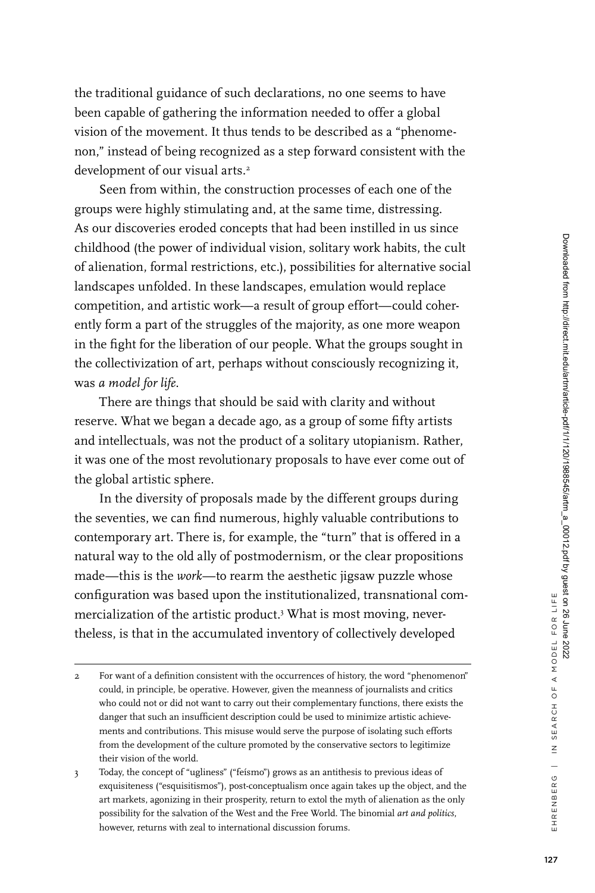the traditional guidance of such declarations, no one seems to have been capable of gathering the information needed to offer a global vision of the movement. It thus tends to be described as a "phenomenon," instead of being recognized as a step forward consistent with the development of our visual arts.<sup>2</sup>

Seen from within, the construction processes of each one of the groups were highly stimulating and, at the same time, distressing. As our discoveries eroded concepts that had been instilled in us since childhood (the power of individual vision, solitary work habits, the cult of alienation, formal restrictions, etc.), possibilities for alternative social landscapes unfolded. In these landscapes, emulation would replace competition, and artistic work—a result of group effort—could coherently form a part of the struggles of the majority, as one more weapon in the fight for the liberation of our people. What the groups sought in the collectivization of art, perhaps without consciously recognizing it, was *a model for life*.

There are things that should be said with clarity and without reserve. What we began a decade ago, as a group of some fifty artists and intellectuals, was not the product of a solitary utopianism. Rather, it was one of the most revolutionary proposals to have ever come out of the global artistic sphere.

In the diversity of proposals made by the different groups during the seventies, we can find numerous, highly valuable contributions to contemporary art. There is, for example, the "turn" that is offered in a natural way to the old ally of postmodernism, or the clear propositions made—this is the *work*—to rearm the aesthetic jigsaw puzzle whose configuration was based upon the institutionalized, transnational commercialization of the artistic product.3 What is most moving, nevertheless, is that in the accumulated inventory of collectively developed

<sup>2</sup> For want of a definition consistent with the occurrences of history, the word "phenomenon" could, in principle, be operative. However, given the meanness of journalists and critics who could not or did not want to carry out their complementary functions, there exists the danger that such an insufficient description could be used to minimize artistic achievements and contributions. This misuse would serve the purpose of isolating such efforts from the development of the culture promoted by the conservative sectors to legitimize their vision of the world.

<sup>3</sup> Today, the concept of "ugliness" ("feísmo") grows as an antithesis to previous ideas of exquisiteness ("esquisitismos"), post-conceptualism once again takes up the object, and the art markets, agonizing in their prosperity, return to extol the myth of alienation as the only possibility for the salvation of the West and the Free World. The binomial *art and politics*, however, returns with zeal to international discussion forums.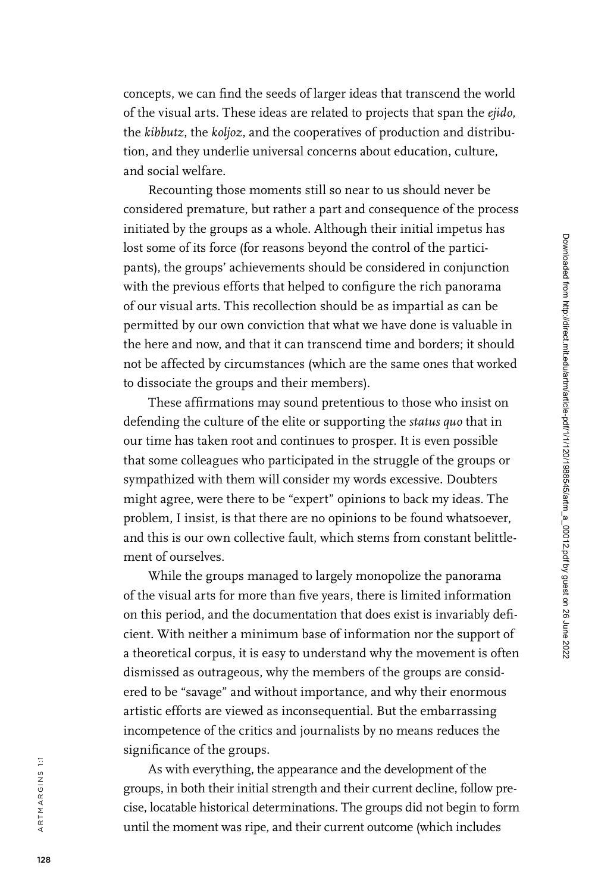concepts, we can find the seeds of larger ideas that transcend the world of the visual arts. These ideas are related to projects that span the *ejido*, the *kibbutz*, the *koljoz*, and the cooperatives of production and distribu tion, and they underlie universal concerns about education, culture, and social welfare.

Recounting those moments still so near to us should never be considered premature, but rather a part and consequence of the process initiated by the groups as a whole. Although their initial impetus has lost some of its force (for reasons beyond the control of the partici pants), the groups' achievements should be considered in conjunction with the previous efforts that helped to configure the rich panorama of our visual arts. This recollection should be as impartial as can be permitted by our own conviction that what we have done is valuable in the here and now, and that it can transcend time and borders; it should not be affected by circumstances (which are the same ones that worked to dissociate the groups and their members).

These affirmations may sound pretentious to those who insist on defending the culture of the elite or supporting the *status quo* that in our time has taken root and continues to prosper. It is even possible that some colleagues who participated in the struggle of the groups or sympathized with them will consider my words excessive. Doubters might agree, were there to be "expert" opinions to back my ideas. The problem, I insist, is that there are no opinions to be found whatsoever, and this is our own collective fault, which stems from constant belittle ment of ourselves.

While the groups managed to largely monopolize the panorama of the visual arts for more than five years, there is limited information on this period, and the documentation that does exist is invariably defi cient. With neither a minimum base of information nor the support of a theoretical corpus, it is easy to understand why the movement is often dismissed as outrageous, why the members of the groups are consid ered to be "savage" and without importance, and why their enormous artistic efforts are viewed as inconsequential. But the embarrassing incompetence of the critics and journalists by no means reduces the significance of the groups.

As with everything, the appearance and the development of the groups, in both their initial strength and their current decline, follow pre cise, locatable historical determinations. The groups did not begin to form until the moment was ripe, and their current outcome (which includes

artmargins 1:1

ARTMARGINS 1:1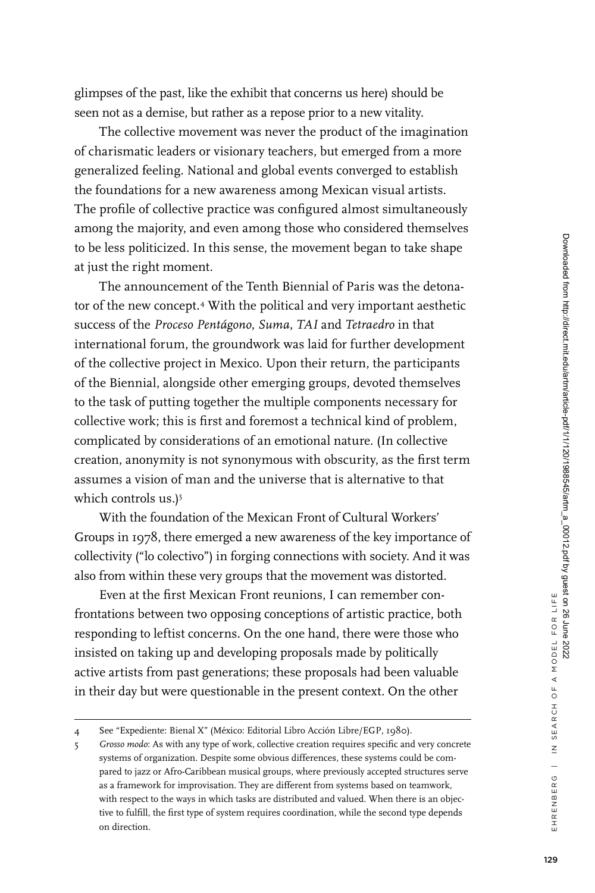glimpses of the past, like the exhibit that concerns us here) should be seen not as a demise, but rather as a repose prior to a new vitality.

The collective movement was never the product of the imagination of charismatic leaders or visionary teachers, but emerged from a more generalized feeling. National and global events converged to establish the foundations for a new awareness among Mexican visual artists. The profile of collective practice was configured almost simultaneously among the majority, and even among those who considered themselves to be less politicized. In this sense, the movement began to take shape at just the right moment.

The announcement of the Tenth Biennial of Paris was the detonator of the new concept.4 With the political and very important aesthetic success of the *Proceso Pentágono*, *Suma*, *TAI* and *Tetraedro* in that international forum, the groundwork was laid for further development of the collective project in Mexico. Upon their return, the participants of the Biennial, alongside other emerging groups, devoted themselves to the task of putting together the multiple components necessary for collective work; this is first and foremost a technical kind of problem, complicated by considerations of an emotional nature. (In collective creation, anonymity is not synonymous with obscurity, as the first term assumes a vision of man and the universe that is alternative to that which controls us.)<sup>5</sup>

With the foundation of the Mexican Front of Cultural Workers' Groups in 1978, there emerged a new awareness of the key importance of collectivity ("lo colectivo") in forging connections with society. And it was also from within these very groups that the movement was distorted.

Even at the first Mexican Front reunions, I can remember confrontations between two opposing conceptions of artistic practice, both responding to leftist concerns. On the one hand, there were those who insisted on taking up and developing proposals made by politically active artists from past generations; these proposals had been valuable in their day but were questionable in the present context. On the other

<sup>4</sup> See "Expediente: Bienal X" (México: Editorial Libro Acción Libre/EGP, 1980).

<sup>5</sup> *Grosso modo*: As with any type of work, collective creation requires specific and very concrete systems of organization. Despite some obvious differences, these systems could be compared to jazz or Afro-Caribbean musical groups, where previously accepted structures serve as a framework for improvisation. They are different from systems based on teamwork, with respect to the ways in which tasks are distributed and valued. When there is an objective to fulfill, the first type of system requires coordination, while the second type depends on direction.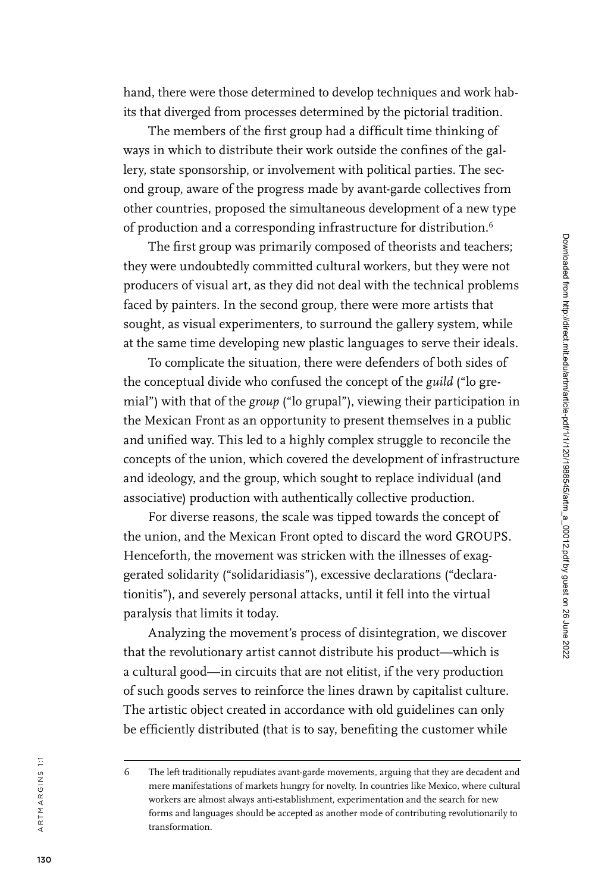hand, there were those determined to develop techniques and work hab its that diverged from processes determined by the pictorial tradition.

The members of the first group had a difficult time thinking of ways in which to distribute their work outside the confines of the gal lery, state sponsorship, or involvement with political parties. The sec ond group, aware of the progress made by avant-garde collectives from other countries, proposed the simultaneous development of a new type of production and a corresponding infrastructure for distribution. 6

The first group was primarily composed of theorists and teachers; they were undoubtedly committed cultural workers, but they were not producers of visual art, as they did not deal with the technical problems faced by painters. In the second group, there were more artists that sought, as visual experimenters, to surround the gallery system, while at the same time developing new plastic languages to serve their ideals.

To complicate the situation, there were defenders of both sides of the conceptual divide who confused the concept of the *guild* ("lo gre mial") with that of the *group* ("lo grupal"), viewing their participation in the Mexican Front as an opportunity to present themselves in a public and unified way. This led to a highly complex struggle to reconcile the concepts of the union, which covered the development of infrastructure and ideology, and the group, which sought to replace individual (and associative) production with authentically collective production.

For diverse reasons, the scale was tipped towards the concept of the union, and the Mexican Front opted to discard the word GROUPS. Henceforth, the movement was stricken with the illnesses of exag gerated solidarity ("solidaridiasis"), excessive declarations ("declara tionitis"), and severely personal attacks, until it fell into the virtual paralysis that limits it today.

Analyzing the movement's process of disintegration, we discover that the revolutionary artist cannot distribute his product—which is a cultural good—in circuits that are not elitist, if the very production of such goods serves to reinforce the lines drawn by capitalist culture. The artistic object created in accordance with old guidelines can only be efficiently distributed (that is to say, benefiting the customer while<br>
6 The left traditionally repudiates avant-garde movements, arguing that they are decadent and

mere manifestations of markets hungry for novelty. In countries like Mexico, where cultural workers are almost always anti-establishment, experimentation and the search for new forms and languages should be accepted as another mode of contributing revolutionarily to transformation.